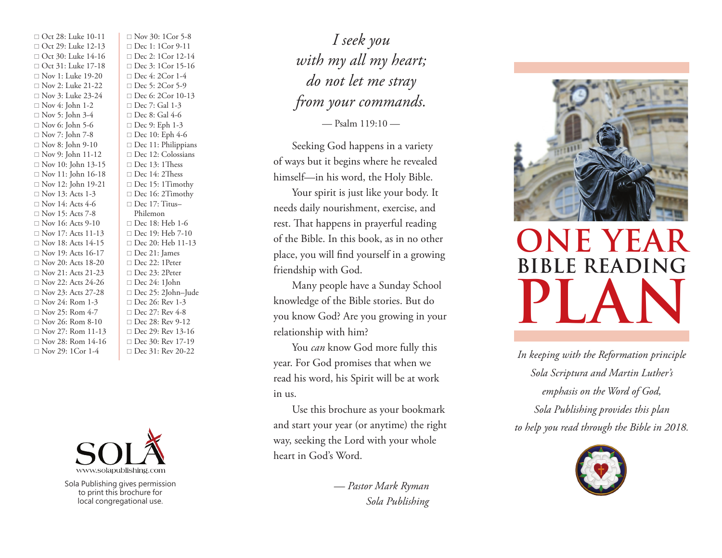□ Oct 28: Luke 10-11 □ Oct 29: Luke 12-13  $\Box$  Oct 30: Luke 14-16  $\Box$  Oct 31: Luke 17-18  $\Box$  Nov 1: Luke 19-20  $\Box$  Nov 2: Luke 21-22  $\Box$  Nov 3: Luke 23-24  $\Box$  Nov 4: John 1-2  $\Box$  Nov 5: John 3-4  $\Box$  Nov 6: John 5-6  $\Box$  Nov 7: John 7-8  $\Box$  Nov 8: John 9-10  $\Box$  Nov 9: John 11-12  $\Box$  Nov 10: John 13-15  $\Box$  Nov 11: John 16-18  $\Box$  Nov 12: John 19-21  $\Box$  Nov 13: Acts 1-3  $\Box$  Nov 14: Acts 4-6  $\Box$  Nov 15: Acts 7-8  $\Box$  Nov 16: Acts 9-10  $\Box$  Nov 17: Acts 11-13  $\Box$  Nov 18: Acts 14-15  $\Box$  Nov 19: Acts 16-17  $\Box$  Nov 20: Acts 18-20  $\Box$  Nov 21: Acts 21-23  $\Box$  Nov 22: Acts 24-26  $\Box$  Nov 23: Acts 27-28  $\Box$  Nov 24: Rom 1-3  $\Box$  Nov 25: Rom 4-7  $\Box$  Nov 26: Rom 8-10  $\Box$  Nov 27: Rom 11-13  $\Box$  Nov 28: Rom 14-16  $\Box$  Nov 29: 1Cor 1-4

 $\Box$  Nov 30: 1Cor 5-8  $\Box$  Dec 1: 1Cor 9-11  $\Box$  Dec 2: 1Cor 12-14  $\Box$  Dec 3: 1Cor 15-16  $\Box$  Dec 4: 2Cor 1-4  $\Box$  Dec 5: 2Cor 5-9 □ Dec 6: 2Cor 10-13  $\Box$  Dec 7: Gal 1-3  $\Box$  Dec 8: Gal 4-6  $\Box$  Dec 9: Eph 1-3  $\Box$  Dec 10: Eph 4-6  $\Box$  Dec 11: Philippians □ Dec 12: Colossians  $\Box$  Dec 13: 1Thess  $\Box$  Dec 14: 2Thess  $\Box$  Dec 15: 1Timothy  $\Box$  Dec 16: 2Timothy  $\Box$  Dec 17: Titus– Philemon  $\Box$  Dec 18: Heb 1-6  $\Box$  Dec 19: Heb 7-10 □ Dec 20: Heb 11-13  $\Box$  Dec 21: James  $\Box$  Dec 22: 1Peter  $\Box$  Dec 23: 2Peter  $\Box$  Dec 24: 1John □ Dec 25: 2John–Jude  $\Box$  Dec 26: Rev 1-3  $\Box$  Dec 27: Rev 4-8  $\Box$  Dec 28: Rev 9-12  $\Box$  Dec 29: Rev 13-16  $\Box$  Dec 30: Rev 17-19  $\Box$  Dec 31: Rev 20-22



Sola Publishing gives permission to print this brochure for local congregational use.

*I seek you with my all my heart; do not let me stray from your commands.*

— Psalm 119:10 —

Seeking God happens in a variety of ways but it begins where he revealed himself—in his word, the Holy Bible.

Your spirit is just like your body. It needs daily nourishment, exercise, and rest. That happens in prayerful reading of the Bible. In this book, as in no other place, you will find yourself in a growing friendship with God.

Many people have a Sunday School knowledge of the Bible stories. But do you know God? Are you growing in your relationship with him?

You *can* know God more fully this year. For God promises that when we read his word, his Spirit will be at work in us.

Use this brochure as your bookmark and start your year (or anytime) the right way, seeking the Lord with your whole heart in God's Word.

> *— Pastor Mark Ryman Sola Publishing*



## **PLAN ONE YEAR**  $BIBLE$  **READING**

*In keeping with the Reformation principle Sola Scriptura and Martin Luther's emphasis on the Word of God, Sola Publishing provides this plan to help you read through the Bible in 2018.*